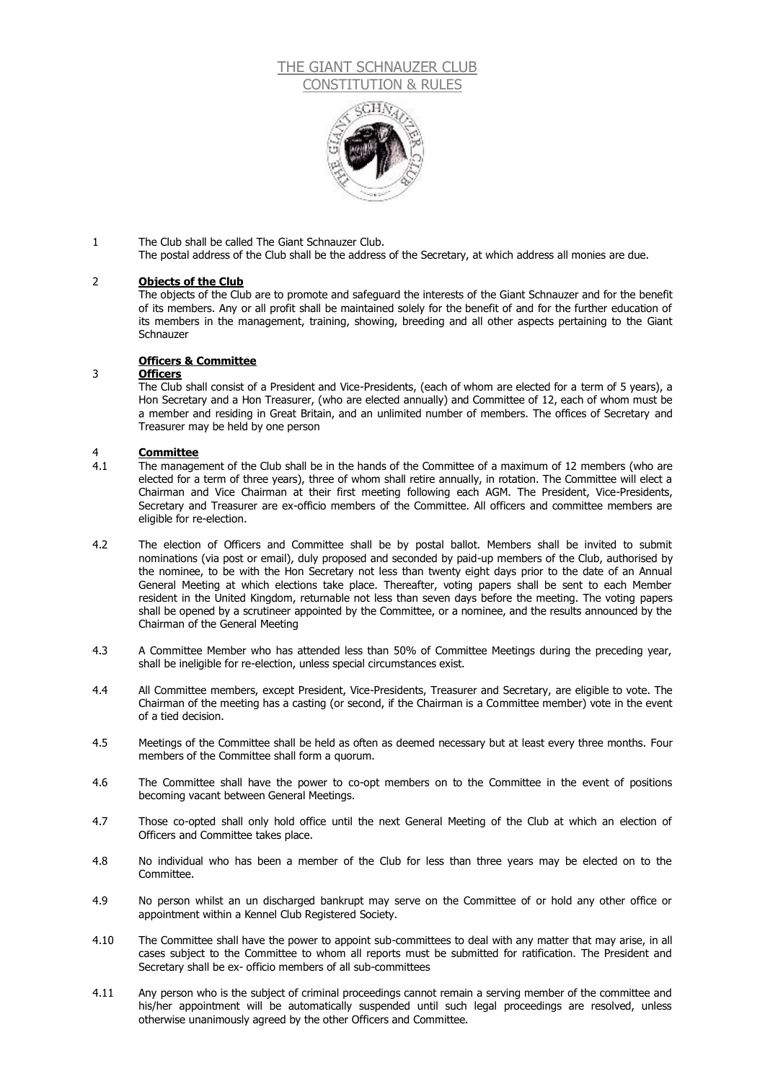### THE GIANT SCHNAUZER CLUB CONSTITUTION & RULE



### 1 The Club shall be called The Giant Schnauzer Club.

The postal address of the Club shall be the address of the Secretary, at which address all monies are due.

#### 2 **Objects of the Club**

The objects of the Club are to promote and safeguard the interests of the Giant Schnauzer and for the benefit of its members. Any or all profit shall be maintained solely for the benefit of and for the further education of its members in the management, training, showing, breeding and all other aspects pertaining to the Giant **Schnauzer** 

#### **Officers & Committee**

### 3 **Officers**

The Club shall consist of a President and Vice-Presidents, (each of whom are elected for a term of 5 years), a Hon Secretary and a Hon Treasurer, (who are elected annually) and Committee of 12, each of whom must be a member and residing in Great Britain, and an unlimited number of members. The offices of Secretary and Treasurer may be held by one person

## 4 **Committee**

- The management of the Club shall be in the hands of the Committee of a maximum of 12 members (who are elected for a term of three years), three of whom shall retire annually, in rotation. The Committee will elect a Chairman and Vice Chairman at their first meeting following each AGM. The President, Vice-Presidents, Secretary and Treasurer are ex-officio members of the Committee. All officers and committee members are eligible for re-election.
- 4.2 The election of Officers and Committee shall be by postal ballot. Members shall be invited to submit nominations (via post or email), duly proposed and seconded by paid-up members of the Club, authorised by the nominee, to be with the Hon Secretary not less than twenty eight days prior to the date of an Annual General Meeting at which elections take place. Thereafter, voting papers shall be sent to each Member resident in the United Kingdom, returnable not less than seven days before the meeting. The voting papers shall be opened by a scrutineer appointed by the Committee, or a nominee, and the results announced by the Chairman of the General Meeting
- 4.3 A Committee Member who has attended less than 50% of Committee Meetings during the preceding year, shall be ineligible for re-election, unless special circumstances exist.
- 4.4 All Committee members, except President, Vice-Presidents, Treasurer and Secretary, are eligible to vote. The Chairman of the meeting has a casting (or second, if the Chairman is a Committee member) vote in the event of a tied decision.
- 4.5 Meetings of the Committee shall be held as often as deemed necessary but at least every three months. Four members of the Committee shall form a quorum.
- 4.6 The Committee shall have the power to co-opt members on to the Committee in the event of positions becoming vacant between General Meetings.
- 4.7 Those co-opted shall only hold office until the next General Meeting of the Club at which an election of Officers and Committee takes place.
- 4.8 No individual who has been a member of the Club for less than three years may be elected on to the Committee.
- 4.9 No person whilst an un discharged bankrupt may serve on the Committee of or hold any other office or appointment within a Kennel Club Registered Society.
- 4.10 The Committee shall have the power to appoint sub-committees to deal with any matter that may arise, in all cases subject to the Committee to whom all reports must be submitted for ratification. The President and Secretary shall be ex- officio members of all sub-committees
- 4.11 Any person who is the subject of criminal proceedings cannot remain a serving member of the committee and his/her appointment will be automatically suspended until such legal proceedings are resolved, unless otherwise unanimously agreed by the other Officers and Committee.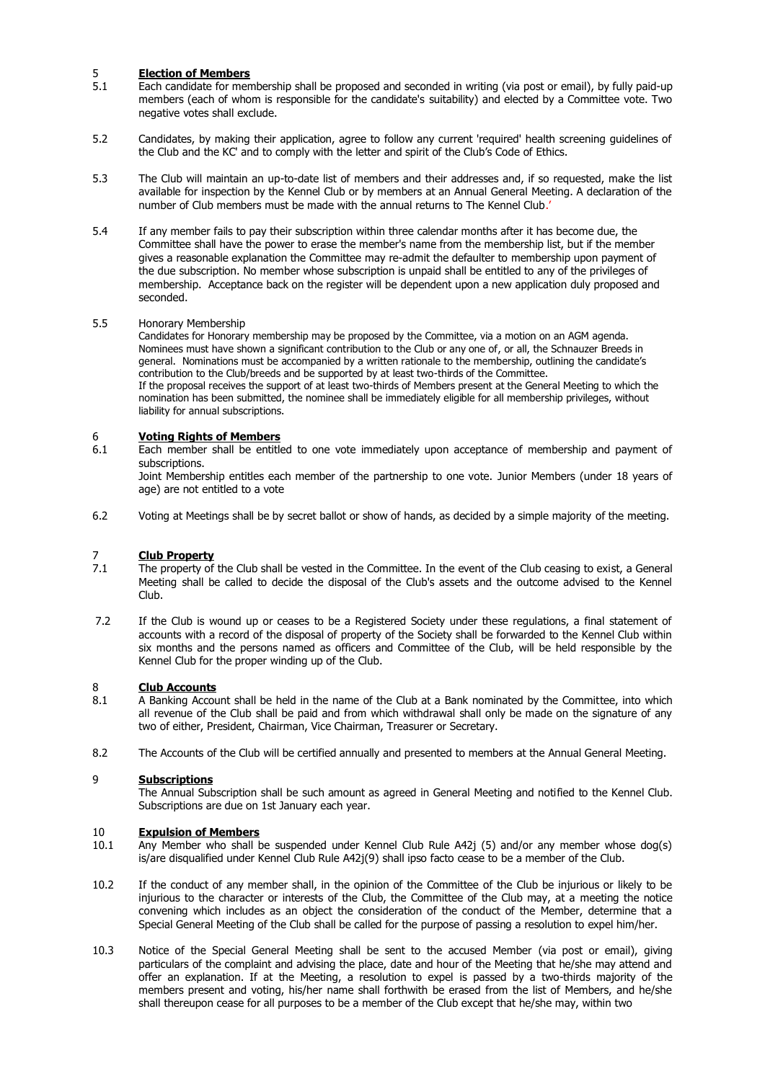## 5 **Election of Members**<br>5.1 **Each candidate for men**

- Each candidate for membership shall be proposed and seconded in writing (via post or email), by fully paid-up members (each of whom is responsible for the candidate's suitability) and elected by a Committee vote. Two negative votes shall exclude.
- 5.2 Candidates, by making their application, agree to follow any current 'required' health screening guidelines of the Club and the KC' and to comply with the letter and spirit of the Club's Code of Ethics.
- 5.3 The Club will maintain an up-to-date list of members and their addresses and, if so requested, make the list available for inspection by the Kennel Club or by members at an Annual General Meeting. A declaration of the number of Club members must be made with the annual returns to The Kennel Club.'
- 5.4 If any member fails to pay their subscription within three calendar months after it has become due, the Committee shall have the power to erase the member's name from the membership list, but if the member gives a reasonable explanation the Committee may re-admit the defaulter to membership upon payment of the due subscription. No member whose subscription is unpaid shall be entitled to any of the privileges of membership. Acceptance back on the register will be dependent upon a new application duly proposed and seconded.

### 5.5 Honorary Membership

Candidates for Honorary membership may be proposed by the Committee, via a motion on an AGM agenda. Nominees must have shown a significant contribution to the Club or any one of, or all, the Schnauzer Breeds in general. Nominations must be accompanied by a written rationale to the membership, outlining the candidate's contribution to the Club/breeds and be supported by at least two-thirds of the Committee. If the proposal receives the support of at least two-thirds of Members present at the General Meeting to which the nomination has been submitted, the nominee shall be immediately eligible for all membership privileges, without liability for annual subscriptions.

### 6 **Voting Rights of Members**

6.1 Each member shall be entitled to one vote immediately upon acceptance of membership and payment of subscriptions.

Joint Membership entitles each member of the partnership to one vote. Junior Members (under 18 years of age) are not entitled to a vote

6.2 Voting at Meetings shall be by secret ballot or show of hands, as decided by a simple majority of the meeting.

# 7 **Club Property**<br>7.1 The property of

- The property of the Club shall be vested in the Committee. In the event of the Club ceasing to exist, a General Meeting shall be called to decide the disposal of the Club's assets and the outcome advised to the Kennel Club.
- 7.2 If the Club is wound up or ceases to be a Registered Society under these regulations, a final statement of accounts with a record of the disposal of property of the Society shall be forwarded to the Kennel Club within six months and the persons named as officers and Committee of the Club, will be held responsible by the Kennel Club for the proper winding up of the Club.

## 8 **Club Accounts**<br>8.1 A Banking Account

- 8.1 A Banking Account shall be held in the name of the Club at a Bank nominated by the Committee, into which all revenue of the Club shall be paid and from which withdrawal shall only be made on the signature of any two of either, President, Chairman, Vice Chairman, Treasurer or Secretary.
- 8.2 The Accounts of the Club will be certified annually and presented to members at the Annual General Meeting.

### 9 **Subscriptions**

The Annual Subscription shall be such amount as agreed in General Meeting and notified to the Kennel Club. Subscriptions are due on 1st January each year.

## 10 **Expulsion of Members**<br>10.1 Any Member who shall b

- Any Member who shall be suspended under Kennel Club Rule A42j (5) and/or any member whose dog(s) is/are disqualified under Kennel Club Rule A42j(9) shall ipso facto cease to be a member of the Club.
- 10.2 If the conduct of any member shall, in the opinion of the Committee of the Club be injurious or likely to be injurious to the character or interests of the Club, the Committee of the Club may, at a meeting the notice convening which includes as an object the consideration of the conduct of the Member, determine that a Special General Meeting of the Club shall be called for the purpose of passing a resolution to expel him/her.
- 10.3 Notice of the Special General Meeting shall be sent to the accused Member (via post or email), giving particulars of the complaint and advising the place, date and hour of the Meeting that he/she may attend and offer an explanation. If at the Meeting, a resolution to expel is passed by a two-thirds majority of the members present and voting, his/her name shall forthwith be erased from the list of Members, and he/she shall thereupon cease for all purposes to be a member of the Club except that he/she may, within two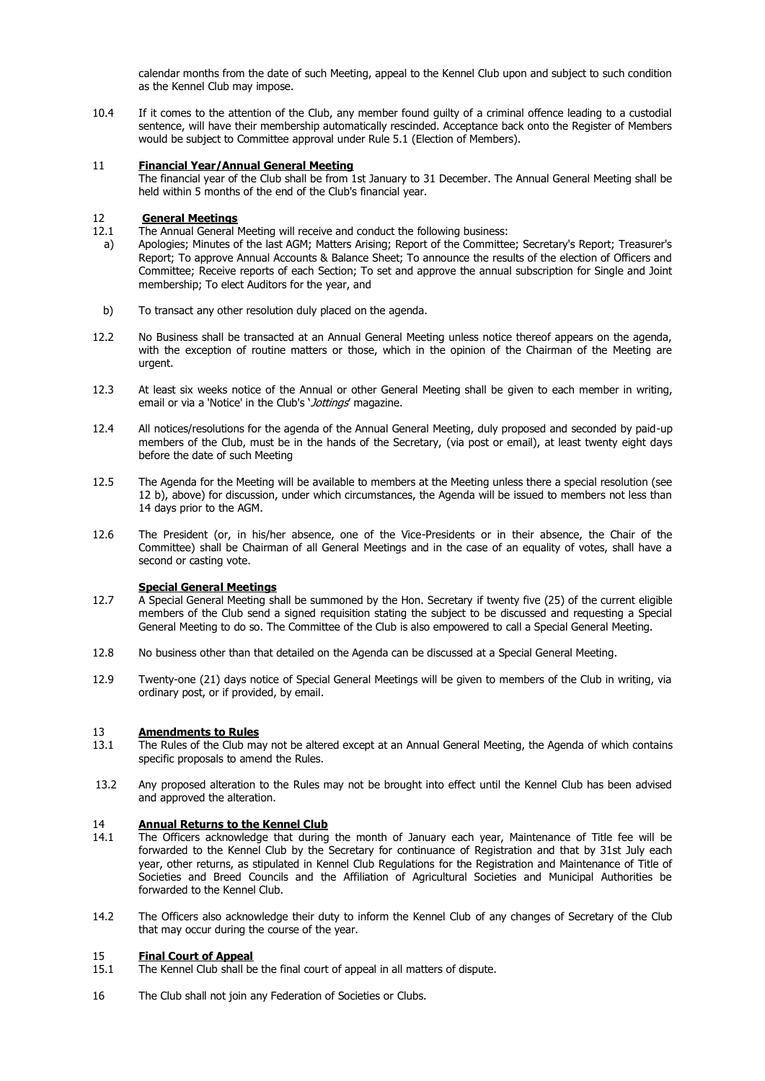calendar months from the date of such Meeting, appeal to the Kennel Club upon and subject to such condition as the Kennel Club may impose.

10.4 If it comes to the attention of the Club, any member found guilty of a criminal offence leading to a custodial sentence, will have their membership automatically rescinded. Acceptance back onto the Register of Members would be subject to Committee approval under Rule 5.1 (Election of Members).

#### 11 **Financial Year/Annual General Meeting**

The financial year of the Club shall be from 1st January to 31 December. The Annual General Meeting shall be held within 5 months of the end of the Club's financial vear.

## 12 **General Meetings**

- 12.1 The Annual General Meeting will receive and conduct the following business:
- a) Apologies; Minutes of the last AGM; Matters Arising; Report of the Committee; Secretary's Report; Treasurer's Report; To approve Annual Accounts & Balance Sheet; To announce the results of the election of Officers and Committee; Receive reports of each Section; To set and approve the annual subscription for Single and Joint membership; To elect Auditors for the year, and
- b) To transact any other resolution duly placed on the agenda.
- 12.2 No Business shall be transacted at an Annual General Meeting unless notice thereof appears on the agenda, with the exception of routine matters or those, which in the opinion of the Chairman of the Meeting are urgent.
- 12.3 At least six weeks notice of the Annual or other General Meeting shall be given to each member in writing, email or via a 'Notice' in the Club's 'Jottings' magazine.
- 12.4 All notices/resolutions for the agenda of the Annual General Meeting, duly proposed and seconded by paid-up members of the Club, must be in the hands of the Secretary, (via post or email), at least twenty eight days before the date of such Meeting
- 12.5 The Agenda for the Meeting will be available to members at the Meeting unless there a special resolution (see 12 b), above) for discussion, under which circumstances, the Agenda will be issued to members not less than 14 days prior to the AGM.
- 12.6 The President (or, in his/her absence, one of the Vice-Presidents or in their absence, the Chair of the Committee) shall be Chairman of all General Meetings and in the case of an equality of votes, shall have a second or casting vote.

#### **Special General Meetings**

- 12.7 A Special General Meeting shall be summoned by the Hon. Secretary if twenty five (25) of the current eligible members of the Club send a signed requisition stating the subject to be discussed and requesting a Special General Meeting to do so. The Committee of the Club is also empowered to call a Special General Meeting.
- 12.8 No business other than that detailed on the Agenda can be discussed at a Special General Meeting.
- 12.9 Twenty-one (21) days notice of Special General Meetings will be given to members of the Club in writing, via ordinary post, or if provided, by email.

### 13 **Amendments to Rules**

- 13.1 The Rules of the Club may not be altered except at an Annual General Meeting, the Agenda of which contains specific proposals to amend the Rules.
- 13.2 Any proposed alteration to the Rules may not be brought into effect until the Kennel Club has been advised and approved the alteration.

## 14 **Annual Returns to the Kennel Club**<br>14.1 The Officers acknowledge that during

- The Officers acknowledge that during the month of January each year, Maintenance of Title fee will be forwarded to the Kennel Club by the Secretary for continuance of Registration and that by 31st July each year, other returns, as stipulated in Kennel Club Regulations for the Registration and Maintenance of Title of Societies and Breed Councils and the Affiliation of Agricultural Societies and Municipal Authorities be forwarded to the Kennel Club.
- 14.2 The Officers also acknowledge their duty to inform the Kennel Club of any changes of Secretary of the Club that may occur during the course of the year.

### 15 **Final Court of Appeal**

- 15.1 The Kennel Club shall be the final court of appeal in all matters of dispute.
- 16 The Club shall not join any Federation of Societies or Clubs.